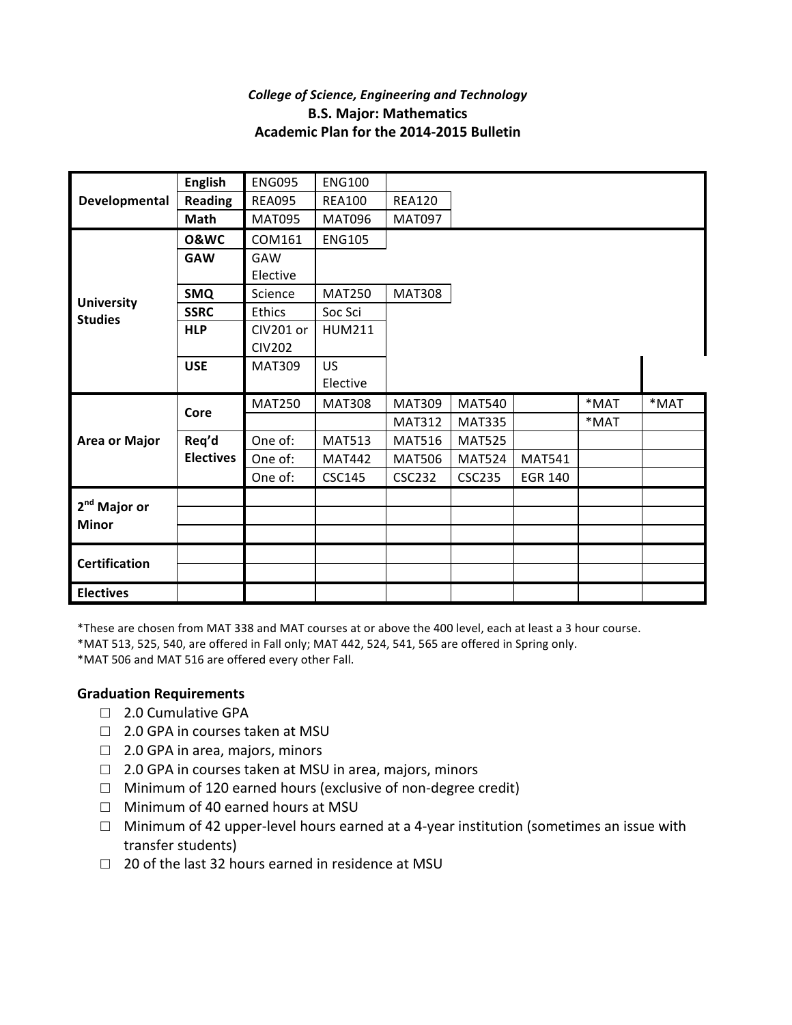## **College of Science, Engineering and Technology B.S. Major: Mathematics Academic Plan for the 2014-2015 Bulletin**

| Developmental                            | <b>English</b>   | <b>ENG095</b> | <b>ENG100</b> |               |               |                |      |      |
|------------------------------------------|------------------|---------------|---------------|---------------|---------------|----------------|------|------|
|                                          | <b>Reading</b>   | <b>REA095</b> | <b>REA100</b> | <b>REA120</b> |               |                |      |      |
|                                          | Math             | <b>MAT095</b> | <b>MAT096</b> | <b>MAT097</b> |               |                |      |      |
| <b>University</b><br><b>Studies</b>      | <b>O&amp;WC</b>  | COM161        | <b>ENG105</b> |               |               |                |      |      |
|                                          | <b>GAW</b>       | GAW           |               |               |               |                |      |      |
|                                          |                  | Elective      |               |               |               |                |      |      |
|                                          | <b>SMQ</b>       | Science       | <b>MAT250</b> | <b>MAT308</b> |               |                |      |      |
|                                          | <b>SSRC</b>      | Ethics        | Soc Sci       |               |               |                |      |      |
|                                          | <b>HLP</b>       | CIV201 or     | <b>HUM211</b> |               |               |                |      |      |
|                                          |                  | <b>CIV202</b> |               |               |               |                |      |      |
|                                          | <b>USE</b>       | <b>MAT309</b> | <b>US</b>     |               |               |                |      |      |
|                                          |                  |               | Elective      |               |               |                |      |      |
| <b>Area or Major</b>                     | Core             | <b>MAT250</b> | <b>MAT308</b> | <b>MAT309</b> | <b>MAT540</b> |                | *MAT | *MAT |
|                                          |                  |               |               | <b>MAT312</b> | <b>MAT335</b> |                | *MAT |      |
|                                          | Req'd            | One of:       | <b>MAT513</b> | <b>MAT516</b> | <b>MAT525</b> |                |      |      |
|                                          | <b>Electives</b> | One of:       | <b>MAT442</b> | <b>MAT506</b> | <b>MAT524</b> | <b>MAT541</b>  |      |      |
|                                          |                  | One of:       | <b>CSC145</b> | <b>CSC232</b> | <b>CSC235</b> | <b>EGR 140</b> |      |      |
| 2 <sup>nd</sup> Major or<br><b>Minor</b> |                  |               |               |               |               |                |      |      |
|                                          |                  |               |               |               |               |                |      |      |
|                                          |                  |               |               |               |               |                |      |      |
|                                          |                  |               |               |               |               |                |      |      |
| <b>Certification</b>                     |                  |               |               |               |               |                |      |      |
|                                          |                  |               |               |               |               |                |      |      |

\*These are chosen from MAT 338 and MAT courses at or above the 400 level, each at least a 3 hour course.

\*MAT 513, 525, 540, are offered in Fall only; MAT 442, 524, 541, 565 are offered in Spring only.

\*MAT 506 and MAT 516 are offered every other Fall.

## **Graduation Requirements**

- □ 2.0 Cumulative GPA
- $\Box$  2.0 GPA in courses taken at MSU
- $\Box$  2.0 GPA in area, majors, minors
- $\Box$  2.0 GPA in courses taken at MSU in area, majors, minors
- $\Box$  Minimum of 120 earned hours (exclusive of non-degree credit)
- $\Box$  Minimum of 40 earned hours at MSU
- $\square$  Minimum of 42 upper-level hours earned at a 4-year institution (sometimes an issue with transfer students)
- $\Box$  20 of the last 32 hours earned in residence at MSU